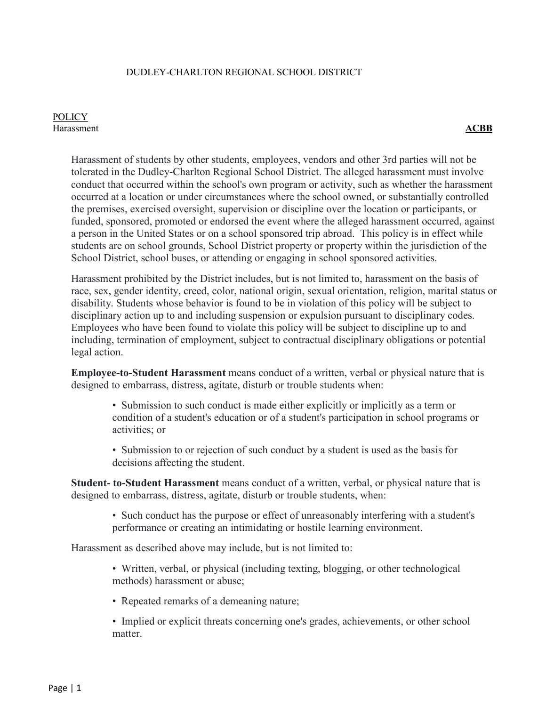#### DUDLEY-CHARLTON REGIONAL SCHOOL DISTRICT

#### **POLICY** Harassment **ACBB**

Harassment of students by other students, employees, vendors and other 3rd parties will not be tolerated in the Dudley-Charlton Regional School District. The alleged harassment must involve conduct that occurred within the school's own program or activity, such as whether the harassment occurred at a location or under circumstances where the school owned, or substantially controlled the premises, exercised oversight, supervision or discipline over the location or participants, or funded, sponsored, promoted or endorsed the event where the alleged harassment occurred, against a person in the United States or on a school sponsored trip abroad. This policy is in effect while students are on school grounds, School District property or property within the jurisdiction of the School District, school buses, or attending or engaging in school sponsored activities.

Harassment prohibited by the District includes, but is not limited to, harassment on the basis of race, sex, gender identity, creed, color, national origin, sexual orientation, religion, marital status or disability. Students whose behavior is found to be in violation of this policy will be subject to disciplinary action up to and including suspension or expulsion pursuant to disciplinary codes. Employees who have been found to violate this policy will be subject to discipline up to and including, termination of employment, subject to contractual disciplinary obligations or potential legal action.

**Employee-to-Student Harassment** means conduct of a written, verbal or physical nature that is designed to embarrass, distress, agitate, disturb or trouble students when:

- Submission to such conduct is made either explicitly or implicitly as a term or condition of a student's education or of a student's participation in school programs or activities; or
- Submission to or rejection of such conduct by a student is used as the basis for decisions affecting the student.

**Student- to-Student Harassment** means conduct of a written, verbal, or physical nature that is designed to embarrass, distress, agitate, disturb or trouble students, when:

• Such conduct has the purpose or effect of unreasonably interfering with a student's performance or creating an intimidating or hostile learning environment.

Harassment as described above may include, but is not limited to:

- Written, verbal, or physical (including texting, blogging, or other technological methods) harassment or abuse;
- Repeated remarks of a demeaning nature;
- Implied or explicit threats concerning one's grades, achievements, or other school matter.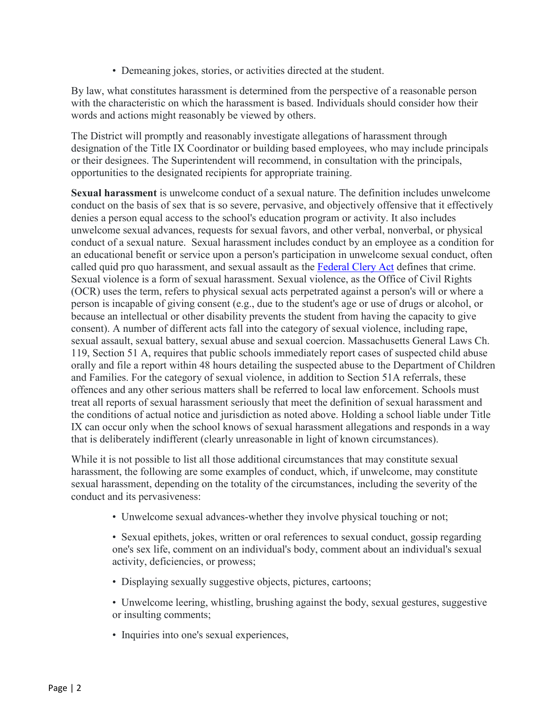• Demeaning jokes, stories, or activities directed at the student.

By law, what constitutes harassment is determined from the perspective of a reasonable person with the characteristic on which the harassment is based. Individuals should consider how their words and actions might reasonably be viewed by others.

The District will promptly and reasonably investigate allegations of harassment through designation of the Title IX Coordinator or building based employees, who may include principals or their designees. The Superintendent will recommend, in consultation with the principals, opportunities to the designated recipients for appropriate training.

**Sexual harassment** is unwelcome conduct of a sexual nature. The definition includes unwelcome conduct on the basis of sex that is so severe, pervasive, and objectively offensive that it effectively denies a person equal access to the school's education program or activity. It also includes unwelcome sexual advances, requests for sexual favors, and other verbal, nonverbal, or physical conduct of a sexual nature. Sexual harassment includes conduct by an employee as a condition for an educational benefit or service upon a person's participation in unwelcome sexual conduct, often called quid pro quo harassment, and sexual assault as the [Federal Clery Act](https://www.justice.gov/archives/ovw/page/file/910306/download) defines that crime. Sexual violence is a form of sexual harassment. Sexual violence, as the Office of Civil Rights (OCR) uses the term, refers to physical sexual acts perpetrated against a person's will or where a person is incapable of giving consent (e.g., due to the student's age or use of drugs or alcohol, or because an intellectual or other disability prevents the student from having the capacity to give consent). A number of different acts fall into the category of sexual violence, including rape, sexual assault, sexual battery, sexual abuse and sexual coercion. Massachusetts General Laws Ch. 119, Section 51 A, requires that public schools immediately report cases of suspected child abuse orally and file a report within 48 hours detailing the suspected abuse to the Department of Children and Families. For the category of sexual violence, in addition to Section 51A referrals, these offences and any other serious matters shall be referred to local law enforcement. Schools must treat all reports of sexual harassment seriously that meet the definition of sexual harassment and the conditions of actual notice and jurisdiction as noted above. Holding a school liable under Title IX can occur only when the school knows of sexual harassment allegations and responds in a way that is deliberately indifferent (clearly unreasonable in light of known circumstances).

While it is not possible to list all those additional circumstances that may constitute sexual harassment, the following are some examples of conduct, which, if unwelcome, may constitute sexual harassment, depending on the totality of the circumstances, including the severity of the conduct and its pervasiveness:

• Unwelcome sexual advances-whether they involve physical touching or not;

• Sexual epithets, jokes, written or oral references to sexual conduct, gossip regarding one's sex life, comment on an individual's body, comment about an individual's sexual activity, deficiencies, or prowess;

- Displaying sexually suggestive objects, pictures, cartoons;
- Unwelcome leering, whistling, brushing against the body, sexual gestures, suggestive or insulting comments;
- Inquiries into one's sexual experiences,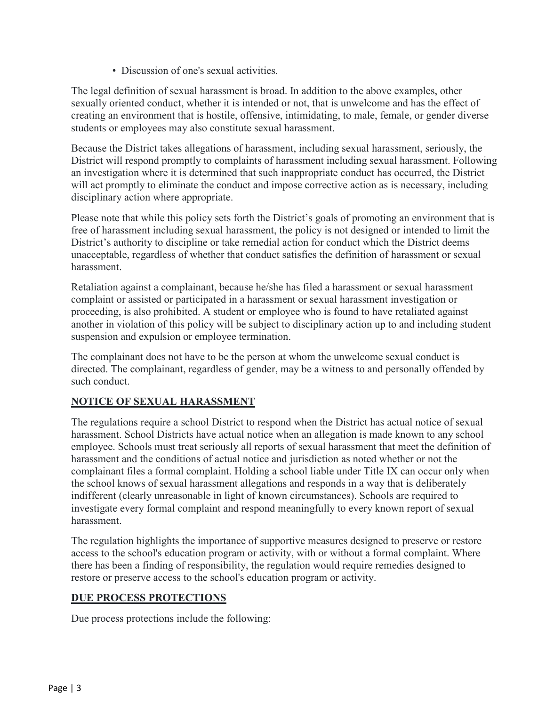• Discussion of one's sexual activities.

The legal definition of sexual harassment is broad. In addition to the above examples, other sexually oriented conduct, whether it is intended or not, that is unwelcome and has the effect of creating an environment that is hostile, offensive, intimidating, to male, female, or gender diverse students or employees may also constitute sexual harassment.

Because the District takes allegations of harassment, including sexual harassment, seriously, the District will respond promptly to complaints of harassment including sexual harassment. Following an investigation where it is determined that such inappropriate conduct has occurred, the District will act promptly to eliminate the conduct and impose corrective action as is necessary, including disciplinary action where appropriate.

Please note that while this policy sets forth the District's goals of promoting an environment that is free of harassment including sexual harassment, the policy is not designed or intended to limit the District's authority to discipline or take remedial action for conduct which the District deems unacceptable, regardless of whether that conduct satisfies the definition of harassment or sexual harassment.

Retaliation against a complainant, because he/she has filed a harassment or sexual harassment complaint or assisted or participated in a harassment or sexual harassment investigation or proceeding, is also prohibited. A student or employee who is found to have retaliated against another in violation of this policy will be subject to disciplinary action up to and including student suspension and expulsion or employee termination.

The complainant does not have to be the person at whom the unwelcome sexual conduct is directed. The complainant, regardless of gender, may be a witness to and personally offended by such conduct.

# **NOTICE OF SEXUAL HARASSMENT**

The regulations require a school District to respond when the District has actual notice of sexual harassment. School Districts have actual notice when an allegation is made known to any school employee. Schools must treat seriously all reports of sexual harassment that meet the definition of harassment and the conditions of actual notice and jurisdiction as noted whether or not the complainant files a formal complaint. Holding a school liable under Title IX can occur only when the school knows of sexual harassment allegations and responds in a way that is deliberately indifferent (clearly unreasonable in light of known circumstances). Schools are required to investigate every formal complaint and respond meaningfully to every known report of sexual harassment.

The regulation highlights the importance of supportive measures designed to preserve or restore access to the school's education program or activity, with or without a formal complaint. Where there has been a finding of responsibility, the regulation would require remedies designed to restore or preserve access to the school's education program or activity.

# **DUE PROCESS PROTECTIONS**

Due process protections include the following: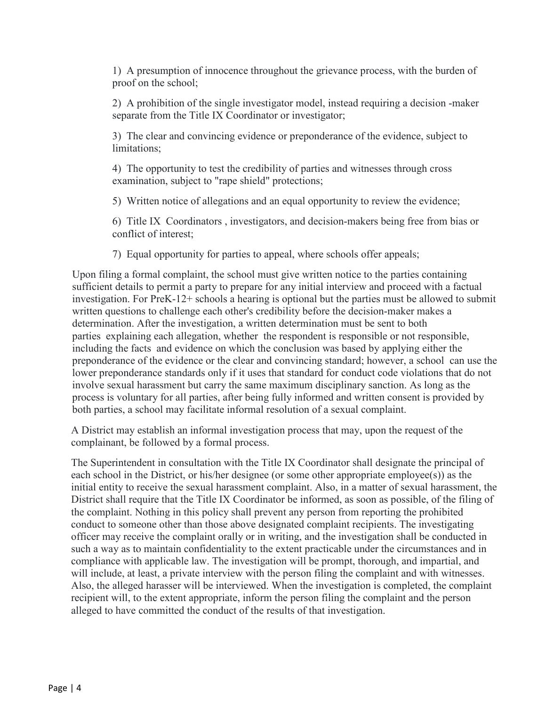1) A presumption of innocence throughout the grievance process, with the burden of proof on the school;

2) A prohibition of the single investigator model, instead requiring a decision -maker separate from the Title IX Coordinator or investigator;

3) The clear and convincing evidence or preponderance of the evidence, subject to limitations;

4) The opportunity to test the credibility of parties and witnesses through cross examination, subject to "rape shield" protections;

5) Written notice of allegations and an equal opportunity to review the evidence;

6) Title IX Coordinators , investigators, and decision-makers being free from bias or conflict of interest;

7) Equal opportunity for parties to appeal, where schools offer appeals;

Upon filing a formal complaint, the school must give written notice to the parties containing sufficient details to permit a party to prepare for any initial interview and proceed with a factual investigation. For PreK-12+ schools a hearing is optional but the parties must be allowed to submit written questions to challenge each other's credibility before the decision-maker makes a determination. After the investigation, a written determination must be sent to both parties explaining each allegation, whether the respondent is responsible or not responsible, including the facts and evidence on which the conclusion was based by applying either the preponderance of the evidence or the clear and convincing standard; however, a school can use the lower preponderance standards only if it uses that standard for conduct code violations that do not involve sexual harassment but carry the same maximum disciplinary sanction. As long as the process is voluntary for all parties, after being fully informed and written consent is provided by both parties, a school may facilitate informal resolution of a sexual complaint.

A District may establish an informal investigation process that may, upon the request of the complainant, be followed by a formal process.

The Superintendent in consultation with the Title IX Coordinator shall designate the principal of each school in the District, or his/her designee (or some other appropriate employee(s)) as the initial entity to receive the sexual harassment complaint. Also, in a matter of sexual harassment, the District shall require that the Title IX Coordinator be informed, as soon as possible, of the filing of the complaint. Nothing in this policy shall prevent any person from reporting the prohibited conduct to someone other than those above designated complaint recipients. The investigating officer may receive the complaint orally or in writing, and the investigation shall be conducted in such a way as to maintain confidentiality to the extent practicable under the circumstances and in compliance with applicable law. The investigation will be prompt, thorough, and impartial, and will include, at least, a private interview with the person filing the complaint and with witnesses. Also, the alleged harasser will be interviewed. When the investigation is completed, the complaint recipient will, to the extent appropriate, inform the person filing the complaint and the person alleged to have committed the conduct of the results of that investigation.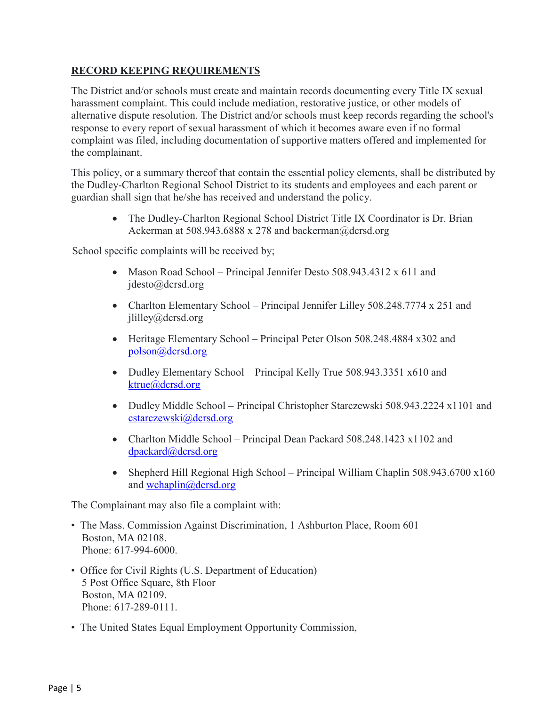### **RECORD KEEPING REQUIREMENTS**

The District and/or schools must create and maintain records documenting every Title IX sexual harassment complaint. This could include mediation, restorative justice, or other models of alternative dispute resolution. The District and/or schools must keep records regarding the school's response to every report of sexual harassment of which it becomes aware even if no formal complaint was filed, including documentation of supportive matters offered and implemented for the complainant.

This policy, or a summary thereof that contain the essential policy elements, shall be distributed by the Dudley-Charlton Regional School District to its students and employees and each parent or guardian shall sign that he/she has received and understand the policy.

• The Dudley-Charlton Regional School District Title IX Coordinator is Dr. Brian Ackerman at 508.943.6888 x 278 and backerman@dcrsd.org

School specific complaints will be received by;

- Mason Road School Principal Jennifer Desto 508.943.4312 x 611 and jdesto@dcrsd.org
- Charlton Elementary School Principal Jennifer Lilley 508.248.7774 x 251 and jlilley@dcrsd.org
- Heritage Elementary School Principal Peter Olson 508.248.4884 x302 and [polson@dcrsd.org](mailto:polson@dcrsd.org)
- Dudley Elementary School Principal Kelly True 508.943.3351 x610 and [ktrue@dcrsd.org](mailto:ktrue@dcrsd.org)
- Dudley Middle School Principal Christopher Starczewski 508.943.2224 x1101 and [cstarczewski@dcrsd.org](mailto:cstarczewski@dcrsd.org)
- Charlton Middle School Principal Dean Packard 508.248.1423 x1102 and [dpackard@dcrsd.org](mailto:dpackard@dcrsd.org)
- Shepherd Hill Regional High School Principal William Chaplin 508.943.6700 x160 and [wchaplin@dcrsd.org](mailto:wchaplin@dcrsd.org)

The Complainant may also file a complaint with:

- The Mass. Commission Against Discrimination, 1 Ashburton Place, Room 601 Boston, MA 02108. Phone: 617-994-6000.
- Office for Civil Rights (U.S. Department of Education) 5 Post Office Square, 8th Floor Boston, MA 02109. Phone: 617-289-0111.
- The United States Equal Employment Opportunity Commission,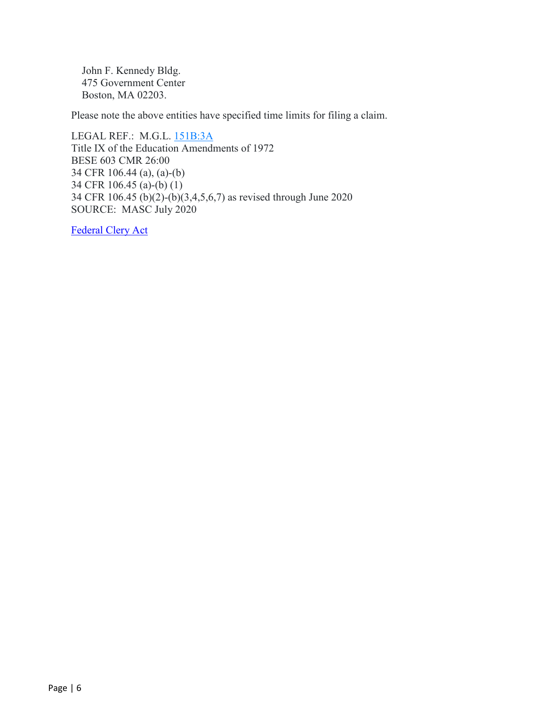John F. Kennedy Bldg. 475 Government Center Boston, MA 02203.

Please note the above entities have specified time limits for filing a claim.

LEGAL REF.: M.G.L. [151B:3A](https://malegislature.gov/Laws/GeneralLaws/PartI/TitleXXI/Chapter151b/section3a) Title IX of the Education Amendments of 1972 BESE 603 CMR 26:00 34 CFR 106.44 (a), (a)-(b) 34 CFR 106.45 (a)-(b) (1) 34 CFR 106.45 (b)(2)-(b)(3,4,5,6,7) as revised through June 2020 SOURCE: MASC July 2020

[Federal Clery Act](https://www.justice.gov/archives/ovw/page/file/910306/download)